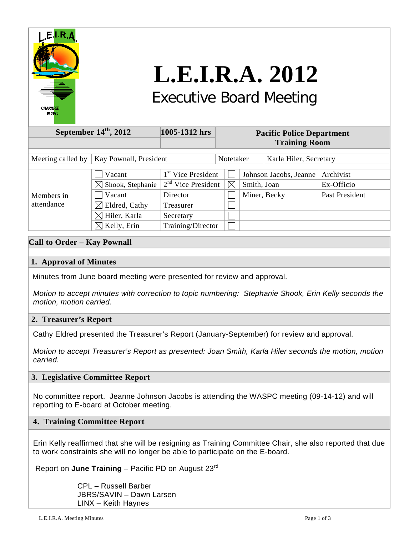

# **L.E.I.R.A. 2012** Executive Board Meeting

#### **September 14<sup>th</sup>, 2012 1005-1312 hrs Pacific Police Department Training Room** Meeting called by | Kay Pownall, President | Notetaker | Karla Hiler, Secretary  $\Box$  Vacant  $1^{st}$  Vice President  $\Box$  Johnson Jacobs, Jeanne Archivist  $\boxtimes$  Shook, Stephanie  $2^{nd}$  Vice President  $\boxtimes$  Smith, Joan Ex-Officio Nacant Director Miner, Becky Past President Members in attendance  $\boxtimes$  Eldred, Cathy Treasurer  $\Box$  $\boxtimes$  Hiler, Karla | Secretary  $\Box$  $\boxtimes$  Kelly, Erin Training/Director  $\Box$

## **Call to Order – Kay Pownall**

## **1. Approval of Minutes**

Minutes from June board meeting were presented for review and approval.

*Motion to accept minutes with correction to topic numbering: Stephanie Shook, Erin Kelly seconds the motion, motion carried.*

## **2. Treasurer's Report**

Cathy Eldred presented the Treasurer's Report (January-September) for review and approval.

*Motion to accept Treasurer's Report as presented: Joan Smith, Karla Hiler seconds the motion, motion carried.*

## **3. Legislative Committee Report**

 No committee report. Jeanne Johnson Jacobs is attending the WASPC meeting (09-14-12) and will reporting to E-board at October meeting.

## **4. Training Committee Report**

Erin Kelly reaffirmed that she will be resigning as Training Committee Chair, she also reported that due to work constraints she will no longer be able to participate on the E-board.

Report on **June Training** – Pacific PD on August 23rd

CPL – Russell Barber JBRS/SAVIN – Dawn Larsen LINX – Keith Haynes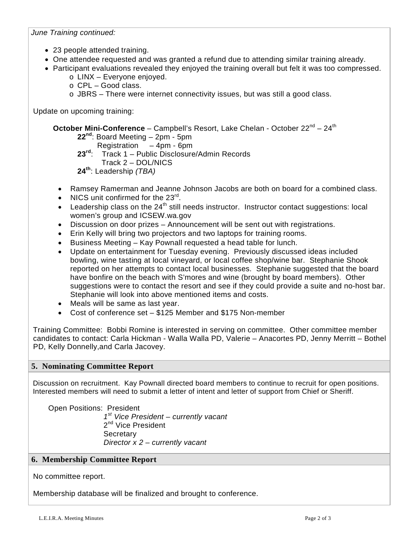## *June Training continued:*

- 23 people attended training.
- One attendee requested and was granted a refund due to attending similar training already.
- Participant evaluations revealed they enjoyed the training overall but felt it was too compressed.
	- o LINX Everyone enjoyed.
	- o CPL Good class.
	- o JBRS There were internet connectivity issues, but was still a good class.

Update on upcoming training:

# **October Mini-Conference** – Campbell's Resort, Lake Chelan - October 22<sup>nd</sup> – 24<sup>th</sup>

**22nd**: Board Meeting – 2pm - 5pm

**Registration – 4pm - 6pm**<br>**23<sup>rd,</sup> Track 1 – Public Disclosure** 

- **23rd**: Track 1 Public Disclosure/Admin Records
- Track 2 DOL/NICS
- **24th**: Leadership *(TBA)*
- Ramsey Ramerman and Jeanne Johnson Jacobs are both on board for a combined class.
- NICS unit confirmed for the 23<sup>rd</sup>.
- Leadership class on the 24<sup>th</sup> still needs instructor. Instructor contact suggestions: local women's group and ICSEW.wa.gov
- Discussion on door prizes Announcement will be sent out with registrations.
- Erin Kelly will bring two projectors and two laptops for training rooms.
- Business Meeting Kay Pownall requested a head table for lunch.
- Update on entertainment for Tuesday evening. Previously discussed ideas included bowling, wine tasting at local vineyard, or local coffee shop/wine bar. Stephanie Shook reported on her attempts to contact local businesses. Stephanie suggested that the board have bonfire on the beach with S'mores and wine (brought by board members). Other suggestions were to contact the resort and see if they could provide a suite and no-host bar. Stephanie will look into above mentioned items and costs.
- Meals will be same as last year.
- Cost of conference set \$125 Member and \$175 Non-member

Training Committee: Bobbi Romine is interested in serving on committee. Other committee member candidates to contact: Carla Hickman - Walla Walla PD, Valerie – Anacortes PD, Jenny Merritt – Bothel PD, Kelly Donnelly,and Carla Jacovey.

## **5. Nominating Committee Report**

 Discussion on recruitment. Kay Pownall directed board members to continue to recruit for open positions. Interested members will need to submit a letter of intent and letter of support from Chief or Sheriff.

 Open Positions: President *1st Vice President – currently vacant* 2<sup>nd</sup> Vice President **Secretary** *Director x 2 – currently vacant*

# **6. Membership Committee Report**

No committee report.

Membership database will be finalized and brought to conference.